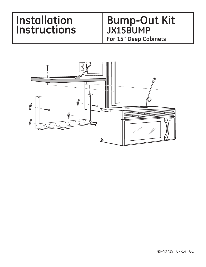# **Installation Bump-Out Kit<br>
Instructions** JX15BUMP<br>
For 15" Deep Cabinets

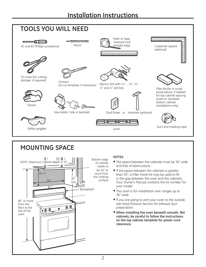

## **MOUNTING SPACE**



### **NOTES:**

- The space between the cabinets must be 30" wide and free of obstructions.
- If the space between the cabinets is greater than 30", a Filler Panel Kit may be used to fill in the gap between the oven and the cabinets. Your Owner's Manual contains the kit number for your model.
- This oven is for installation over ranges up to 36" wide.
- If you are going to vent your oven to the outside, see Hood Exhaust Section for exhaust duct preparation.
- **When installing the oven beneath smooth, flat cabinets, be careful to follow the instructions on the top cabinet template for power cord clearance.**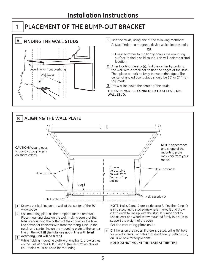# PLACEMENT OF THE BUMP-OUT BRACKET

1